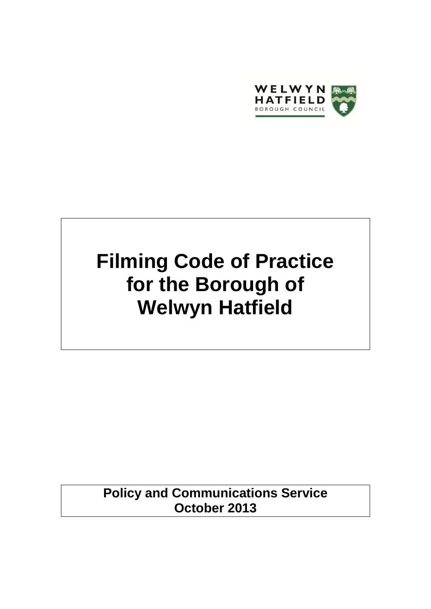

# **Filming Code of Practice for the Borough of Welwyn Hatfield**

**Policy and Communications Service October 2013**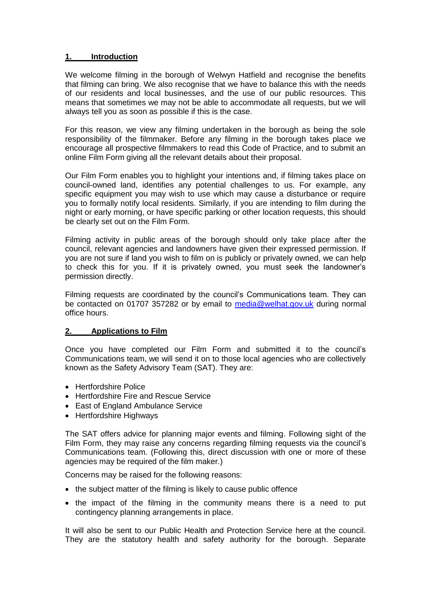# **1. Introduction**

We welcome filming in the borough of Welwyn Hatfield and recognise the benefits that filming can bring. We also recognise that we have to balance this with the needs of our residents and local businesses, and the use of our public resources. This means that sometimes we may not be able to accommodate all requests, but we will always tell you as soon as possible if this is the case.

For this reason, we view any filming undertaken in the borough as being the sole responsibility of the filmmaker. Before any filming in the borough takes place we encourage all prospective filmmakers to read this Code of Practice, and to submit an online Film Form giving all the relevant details about their proposal.

Our Film Form enables you to highlight your intentions and, if filming takes place on council-owned land, identifies any potential challenges to us. For example, any specific equipment you may wish to use which may cause a disturbance or require you to formally notify local residents. Similarly, if you are intending to film during the night or early morning, or have specific parking or other location requests, this should be clearly set out on the Film Form.

Filming activity in public areas of the borough should only take place after the council, relevant agencies and landowners have given their expressed permission. If you are not sure if land you wish to film on is publicly or privately owned, we can help to check this for you. If it is privately owned, you must seek the landowner's permission directly.

Filming requests are coordinated by the council's Communications team. They can be contacted on 01707 357282 or by email to [media@welhat.gov.uk](mailto:media@welhat.gov.uk) during normal office hours.

#### **2. Applications to Film**

Once you have completed our Film Form and submitted it to the council's Communications team, we will send it on to those local agencies who are collectively known as the Safety Advisory Team (SAT). They are:

- Hertfordshire Police
- Hertfordshire Fire and Rescue Service
- East of England Ambulance Service
- Hertfordshire Highways

The SAT offers advice for planning major events and filming. Following sight of the Film Form, they may raise any concerns regarding filming requests via the council's Communications team. (Following this, direct discussion with one or more of these agencies may be required of the film maker.)

Concerns may be raised for the following reasons:

- the subject matter of the filming is likely to cause public offence
- the impact of the filming in the community means there is a need to put contingency planning arrangements in place.

It will also be sent to our Public Health and Protection Service here at the council. They are the statutory health and safety authority for the borough. Separate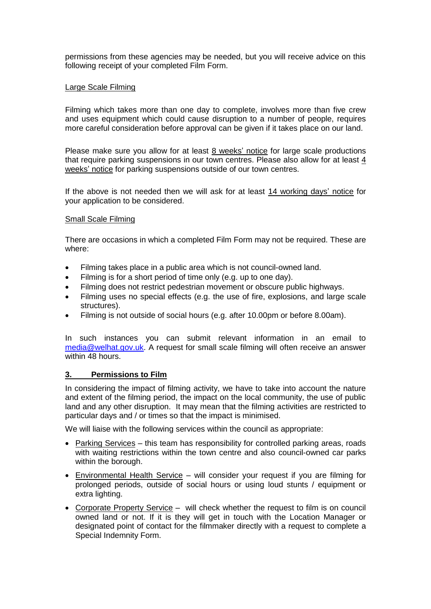permissions from these agencies may be needed, but you will receive advice on this following receipt of your completed Film Form.

## Large Scale Filming

Filming which takes more than one day to complete, involves more than five crew and uses equipment which could cause disruption to a number of people, requires more careful consideration before approval can be given if it takes place on our land.

Please make sure you allow for at least 8 weeks' notice for large scale productions that require parking suspensions in our town centres. Please also allow for at least 4 weeks' notice for parking suspensions outside of our town centres.

If the above is not needed then we will ask for at least 14 working days' notice for your application to be considered.

# Small Scale Filming

There are occasions in which a completed Film Form may not be required. These are where:

- Filming takes place in a public area which is not council-owned land.
- Filming is for a short period of time only (e.g. up to one day).
- Filming does not restrict pedestrian movement or obscure public highways.
- Filming uses no special effects (e.g. the use of fire, explosions, and large scale structures).
- Filming is not outside of social hours (e.g. after 10.00pm or before 8.00am).

In such instances you can submit relevant information in an email to [media@welhat.gov.uk.](mailto:media@welhat.gov.uk) A request for small scale filming will often receive an answer within 48 hours

# **3. Permissions to Film**

In considering the impact of filming activity, we have to take into account the nature and extent of the filming period, the impact on the local community, the use of public land and any other disruption. It may mean that the filming activities are restricted to particular days and / or times so that the impact is minimised.

We will liaise with the following services within the council as appropriate:

- Parking Services this team has responsibility for controlled parking areas, roads with waiting restrictions within the town centre and also council-owned car parks within the borough.
- Environmental Health Service will consider your request if you are filming for prolonged periods, outside of social hours or using loud stunts / equipment or extra lighting.
- Corporate Property Service will check whether the request to film is on council owned land or not. If it is they will get in touch with the Location Manager or designated point of contact for the filmmaker directly with a request to complete a Special Indemnity Form.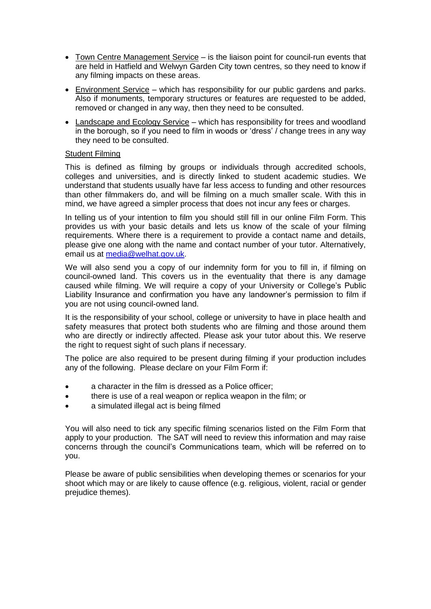- Town Centre Management Service is the liaison point for council-run events that are held in Hatfield and Welwyn Garden City town centres, so they need to know if any filming impacts on these areas.
- Environment Service which has responsibility for our public gardens and parks. Also if monuments, temporary structures or features are requested to be added, removed or changed in any way, then they need to be consulted.
- Landscape and Ecology Service which has responsibility for trees and woodland in the borough, so if you need to film in woods or 'dress' / change trees in any way they need to be consulted.

# Student Filming

This is defined as filming by groups or individuals through accredited schools, colleges and universities, and is directly linked to student academic studies. We understand that students usually have far less access to funding and other resources than other filmmakers do, and will be filming on a much smaller scale. With this in mind, we have agreed a simpler process that does not incur any fees or charges.

In telling us of your intention to film you should still fill in our online Film Form. This provides us with your basic details and lets us know of the scale of your filming requirements. Where there is a requirement to provide a contact name and details, please give one along with the name and contact number of your tutor. Alternatively, email us at [media@welhat.gov.uk.](mailto:media@welhat.gov.uk)

We will also send you a copy of our indemnity form for you to fill in, if filming on council-owned land. This covers us in the eventuality that there is any damage caused while filming. We will require a copy of your University or College's Public Liability Insurance and confirmation you have any landowner's permission to film if you are not using council-owned land.

It is the responsibility of your school, college or university to have in place health and safety measures that protect both students who are filming and those around them who are directly or indirectly affected. Please ask your tutor about this. We reserve the right to request sight of such plans if necessary.

The police are also required to be present during filming if your production includes any of the following. Please declare on your Film Form if:

- a character in the film is dressed as a Police officer;
- there is use of a real weapon or replica weapon in the film; or
- a simulated illegal act is being filmed

You will also need to tick any specific filming scenarios listed on the Film Form that apply to your production. The SAT will need to review this information and may raise concerns through the council's Communications team, which will be referred on to you.

Please be aware of public sensibilities when developing themes or scenarios for your shoot which may or are likely to cause offence (e.g. religious, violent, racial or gender prejudice themes).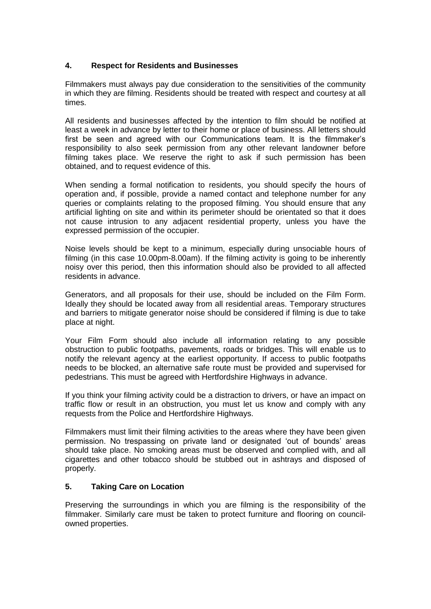# **4. Respect for Residents and Businesses**

Filmmakers must always pay due consideration to the sensitivities of the community in which they are filming. Residents should be treated with respect and courtesy at all times.

All residents and businesses affected by the intention to film should be notified at least a week in advance by letter to their home or place of business. All letters should first be seen and agreed with our Communications team. It is the filmmaker's responsibility to also seek permission from any other relevant landowner before filming takes place. We reserve the right to ask if such permission has been obtained, and to request evidence of this.

When sending a formal notification to residents, you should specify the hours of operation and, if possible, provide a named contact and telephone number for any queries or complaints relating to the proposed filming. You should ensure that any artificial lighting on site and within its perimeter should be orientated so that it does not cause intrusion to any adjacent residential property, unless you have the expressed permission of the occupier.

Noise levels should be kept to a minimum, especially during unsociable hours of filming (in this case 10.00pm-8.00am). If the filming activity is going to be inherently noisy over this period, then this information should also be provided to all affected residents in advance.

Generators, and all proposals for their use, should be included on the Film Form. Ideally they should be located away from all residential areas. Temporary structures and barriers to mitigate generator noise should be considered if filming is due to take place at night.

Your Film Form should also include all information relating to any possible obstruction to public footpaths, pavements, roads or bridges. This will enable us to notify the relevant agency at the earliest opportunity. If access to public footpaths needs to be blocked, an alternative safe route must be provided and supervised for pedestrians. This must be agreed with Hertfordshire Highways in advance.

If you think your filming activity could be a distraction to drivers, or have an impact on traffic flow or result in an obstruction, you must let us know and comply with any requests from the Police and Hertfordshire Highways.

Filmmakers must limit their filming activities to the areas where they have been given permission. No trespassing on private land or designated 'out of bounds' areas should take place. No smoking areas must be observed and complied with, and all cigarettes and other tobacco should be stubbed out in ashtrays and disposed of properly.

# **5. Taking Care on Location**

Preserving the surroundings in which you are filming is the responsibility of the filmmaker. Similarly care must be taken to protect furniture and flooring on councilowned properties.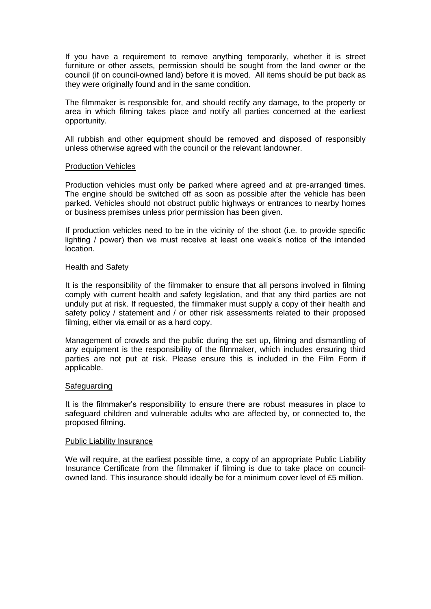If you have a requirement to remove anything temporarily, whether it is street furniture or other assets, permission should be sought from the land owner or the council (if on council-owned land) before it is moved. All items should be put back as they were originally found and in the same condition.

The filmmaker is responsible for, and should rectify any damage, to the property or area in which filming takes place and notify all parties concerned at the earliest opportunity.

All rubbish and other equipment should be removed and disposed of responsibly unless otherwise agreed with the council or the relevant landowner.

#### Production Vehicles

Production vehicles must only be parked where agreed and at pre-arranged times. The engine should be switched off as soon as possible after the vehicle has been parked. Vehicles should not obstruct public highways or entrances to nearby homes or business premises unless prior permission has been given.

If production vehicles need to be in the vicinity of the shoot (i.e. to provide specific lighting / power) then we must receive at least one week's notice of the intended location.

#### Health and Safety

It is the responsibility of the filmmaker to ensure that all persons involved in filming comply with current health and safety legislation, and that any third parties are not unduly put at risk. If requested, the filmmaker must supply a copy of their health and safety policy / statement and / or other risk assessments related to their proposed filming, either via email or as a hard copy.

Management of crowds and the public during the set up, filming and dismantling of any equipment is the responsibility of the filmmaker, which includes ensuring third parties are not put at risk. Please ensure this is included in the Film Form if applicable.

#### **Safeguarding**

It is the filmmaker's responsibility to ensure there are robust measures in place to safeguard children and vulnerable adults who are affected by, or connected to, the proposed filming.

#### Public Liability Insurance

We will require, at the earliest possible time, a copy of an appropriate Public Liability Insurance Certificate from the filmmaker if filming is due to take place on councilowned land. This insurance should ideally be for a minimum cover level of £5 million.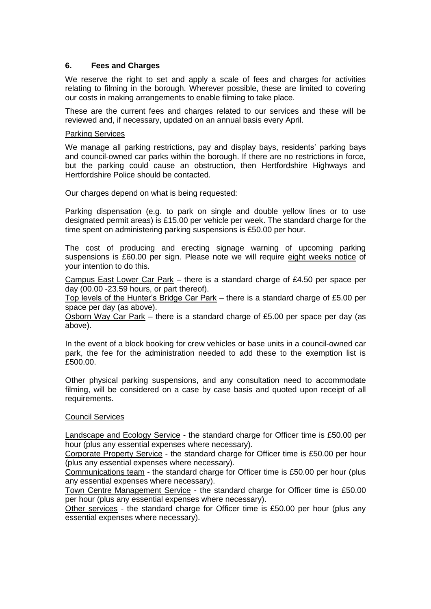# **6. Fees and Charges**

We reserve the right to set and apply a scale of fees and charges for activities relating to filming in the borough. Wherever possible, these are limited to covering our costs in making arrangements to enable filming to take place.

These are the current fees and charges related to our services and these will be reviewed and, if necessary, updated on an annual basis every April.

#### Parking Services

We manage all parking restrictions, pay and display bays, residents' parking bays and council-owned car parks within the borough. If there are no restrictions in force, but the parking could cause an obstruction, then Hertfordshire Highways and Hertfordshire Police should be contacted.

Our charges depend on what is being requested:

Parking dispensation (e.g. to park on single and double yellow lines or to use designated permit areas) is £15.00 per vehicle per week. The standard charge for the time spent on administering parking suspensions is £50.00 per hour.

The cost of producing and erecting signage warning of upcoming parking suspensions is £60.00 per sign. Please note we will require eight weeks notice of your intention to do this.

Campus East Lower Car Park – there is a standard charge of £4.50 per space per day (00.00 -23.59 hours, or part thereof).

Top levels of the Hunter's Bridge Car Park – there is a standard charge of £5.00 per space per day (as above).

Osborn Way Car Park – there is a standard charge of £5.00 per space per day (as above).

In the event of a block booking for crew vehicles or base units in a council-owned car park, the fee for the administration needed to add these to the exemption list is £500.00.

Other physical parking suspensions, and any consultation need to accommodate filming, will be considered on a case by case basis and quoted upon receipt of all requirements.

#### Council Services

Landscape and Ecology Service - the standard charge for Officer time is £50.00 per hour (plus any essential expenses where necessary).

Corporate Property Service - the standard charge for Officer time is £50.00 per hour (plus any essential expenses where necessary).

Communications team - the standard charge for Officer time is £50.00 per hour (plus any essential expenses where necessary).

Town Centre Management Service - the standard charge for Officer time is £50.00 per hour (plus any essential expenses where necessary).

Other services - the standard charge for Officer time is £50.00 per hour (plus any essential expenses where necessary).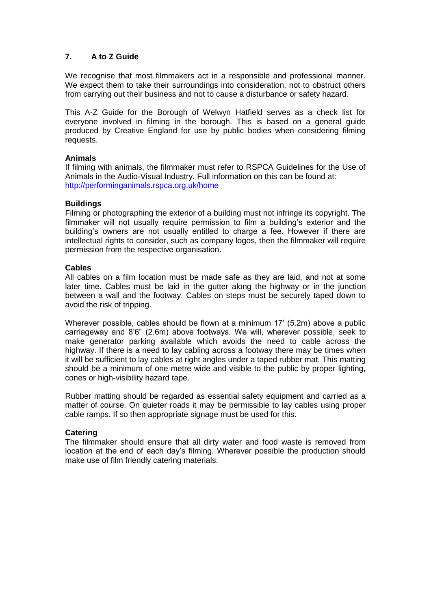# **7. A to Z Guide**

We recognise that most filmmakers act in a responsible and professional manner. We expect them to take their surroundings into consideration, not to obstruct others from carrying out their business and not to cause a disturbance or safety hazard.

This A-Z Guide for the Borough of Welwyn Hatfield serves as a check list for everyone involved in filming in the borough. This is based on a general guide produced by Creative England for use by public bodies when considering filming requests.

# **Animals**

If filming with animals, the filmmaker must refer to RSPCA Guidelines for the Use of Animals in the Audio-Visual Industry. Full information on this can be found at: http://performinganimals.rspca.org.uk/home

# **Buildings**

Filming or photographing the exterior of a building must not infringe its copyright. The filmmaker will not usually require permission to film a building's exterior and the building's owners are not usually entitled to charge a fee. However if there are intellectual rights to consider, such as company logos, then the filmmaker will require permission from the respective organisation.

# **Cables**

All cables on a film location must be made safe as they are laid, and not at some later time. Cables must be laid in the gutter along the highway or in the junction between a wall and the footway. Cables on steps must be securely taped down to avoid the risk of tripping.

Wherever possible, cables should be flown at a minimum 17' (5.2m) above a public carriageway and 8'6" (2.6m) above footways. We will, wherever possible, seek to make generator parking available which avoids the need to cable across the highway. If there is a need to lay cabling across a footway there may be times when it will be sufficient to lay cables at right angles under a taped rubber mat. This matting should be a minimum of one metre wide and visible to the public by proper lighting, cones or high-visibility hazard tape.

Rubber matting should be regarded as essential safety equipment and carried as a matter of course. On quieter roads it may be permissible to lay cables using proper cable ramps. If so then appropriate signage must be used for this.

#### **Catering**

The filmmaker should ensure that all dirty water and food waste is removed from location at the end of each day's filming. Wherever possible the production should make use of film friendly catering materials.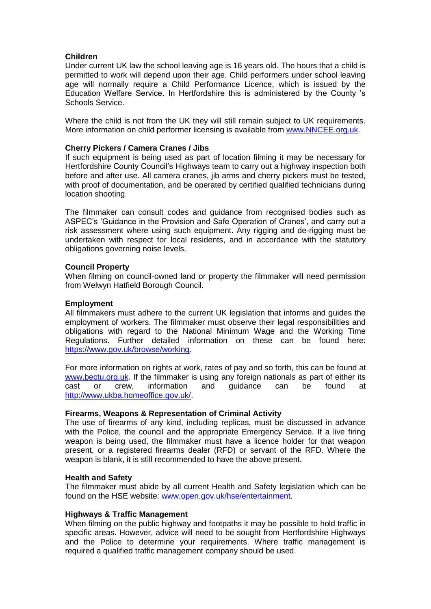# **Children**

Under current UK law the school leaving age is 16 years old. The hours that a child is permitted to work will depend upon their age. Child performers under school leaving age will normally require a Child Performance Licence, which is issued by the Education Welfare Service. In Hertfordshire this is administered by the County 's Schools Service.

Where the child is not from the UK they will still remain subject to UK requirements. More information on child performer licensing is available from [www.NNCEE.org.uk.](http://www.nncee.org.uk/)

## **Cherry Pickers / Camera Cranes / Jibs**

If such equipment is being used as part of location filming it may be necessary for Hertfordshire County Council's Highways team to carry out a highway inspection both before and after use. All camera cranes, jib arms and cherry pickers must be tested, with proof of documentation, and be operated by certified qualified technicians during location shooting.

The filmmaker can consult codes and guidance from recognised bodies such as ASPEC's 'Guidance in the Provision and Safe Operation of Cranes', and carry out a risk assessment where using such equipment. Any rigging and de-rigging must be undertaken with respect for local residents, and in accordance with the statutory obligations governing noise levels.

# **Council Property**

When filming on council-owned land or property the filmmaker will need permission from Welwyn Hatfield Borough Council.

## **Employment**

All filmmakers must adhere to the current UK legislation that informs and guides the employment of workers. The filmmaker must observe their legal responsibilities and obligations with regard to the National Minimum Wage and the Working Time Regulations. Further detailed information on these can be found here: [https://www.gov.uk/browse/working.](https://www.gov.uk/browse/working)

For more information on rights at work, rates of pay and so forth, this can be found at [www.bectu.org.uk.](http://www.bectu.org.uk/) If the filmmaker is using any foreign nationals as part of either its cast or crew, information and guidance can be found at [http://www.ukba.homeoffice.gov.uk/.](http://www.ukba.homeoffice.gov.uk/)

#### **Firearms, Weapons & Representation of Criminal Activity**

The use of firearms of any kind, including replicas, must be discussed in advance with the Police, the council and the appropriate Emergency Service. If a live firing weapon is being used, the filmmaker must have a licence holder for that weapon present, or a registered firearms dealer (RFD) or servant of the RFD. Where the weapon is blank, it is still recommended to have the above present.

#### **Health and Safety**

The filmmaker must abide by all current Health and Safety legislation which can be found on the HSE website: [www.open.gov.uk/hse/entertainment.](http://www.open.gov.uk/hse/entertainment)

#### **Highways & Traffic Management**

When filming on the public highway and footpaths it may be possible to hold traffic in specific areas. However, advice will need to be sought from Hertfordshire Highways and the Police to determine your requirements. Where traffic management is required a qualified traffic management company should be used.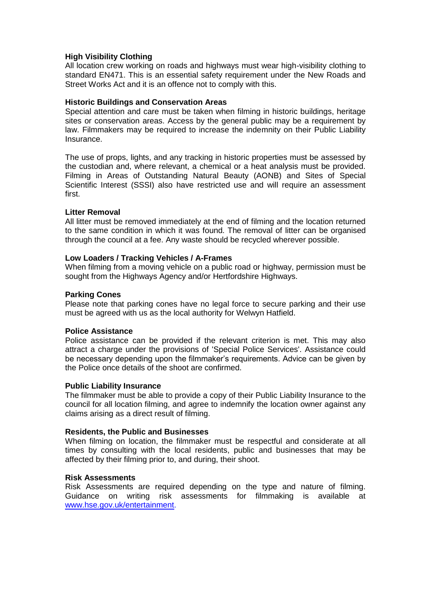# **High Visibility Clothing**

All location crew working on roads and highways must wear high-visibility clothing to standard EN471. This is an essential safety requirement under the New Roads and Street Works Act and it is an offence not to comply with this.

#### **Historic Buildings and Conservation Areas**

Special attention and care must be taken when filming in historic buildings, heritage sites or conservation areas. Access by the general public may be a requirement by law. Filmmakers may be required to increase the indemnity on their Public Liability Insurance.

The use of props, lights, and any tracking in historic properties must be assessed by the custodian and, where relevant, a chemical or a heat analysis must be provided. Filming in Areas of Outstanding Natural Beauty (AONB) and Sites of Special Scientific Interest (SSSI) also have restricted use and will require an assessment first.

# **Litter Removal**

All litter must be removed immediately at the end of filming and the location returned to the same condition in which it was found. The removal of litter can be organised through the council at a fee. Any waste should be recycled wherever possible.

# **Low Loaders / Tracking Vehicles / A-Frames**

When filming from a moving vehicle on a public road or highway, permission must be sought from the Highways Agency and/or Hertfordshire Highways.

# **Parking Cones**

Please note that parking cones have no legal force to secure parking and their use must be agreed with us as the local authority for Welwyn Hatfield.

#### **Police Assistance**

Police assistance can be provided if the relevant criterion is met. This may also attract a charge under the provisions of 'Special Police Services'. Assistance could be necessary depending upon the filmmaker's requirements. Advice can be given by the Police once details of the shoot are confirmed.

#### **Public Liability Insurance**

The filmmaker must be able to provide a copy of their Public Liability Insurance to the council for all location filming, and agree to indemnify the location owner against any claims arising as a direct result of filming.

#### **Residents, the Public and Businesses**

When filming on location, the filmmaker must be respectful and considerate at all times by consulting with the local residents, public and businesses that may be affected by their filming prior to, and during, their shoot.

#### **Risk Assessments**

Risk Assessments are required depending on the type and nature of filming. Guidance on writing risk assessments for filmmaking is available at [www.hse.gov.uk/entertainment.](http://www.hse.gov.uk/entertainment)